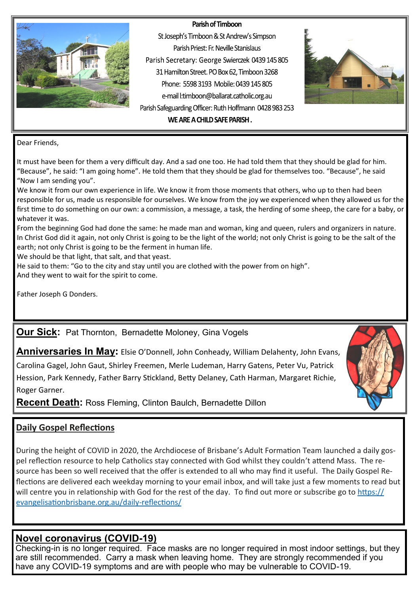#### Parish of Timboon



St Joseph's Timboon & St Andrew's Simpson Parish Priest: Fr. Neville Stanislaus Parish Secretary: George Swierczek 0439 145 805 31 Hamilton Street. PO Box 62, Timboon 3268 Phone: 5598.3193 Mobile: 0439.145.805 e-mail l:timboon@ballarat.catholic.org.au Parish Safeguarding Officer: Ruth Hoffmann 0428 983 253



WE ARE A CHILD SAFE PARISH.

Dear Friends,

It must have been for them a very difficult day. And a sad one too. He had told them that they should be glad for him. "Because", he said: "I am going home". He told them that they should be glad for themselves too. "Because", he said "Now I am sending you".

We know it from our own experience in life. We know it from those moments that others, who up to then had been responsible for us, made us responsible for ourselves. We know from the joy we experienced when they allowed us for the first time to do something on our own: a commission, a message, a task, the herding of some sheep, the care for a baby, or whatever it was.

From the beginning God had done the same: he made man and woman, king and queen, rulers and organizers in nature. In Christ God did it again, not only Christ is going to be the light of the world; not only Christ is going to be the salt of the earth; not only Christ is going to be the ferment in human life.

We should be that light, that salt, and that yeast.

He said to them: "Go to the city and stay until you are clothed with the power from on high".

And they went to wait for the spirit to come.

Father Joseph G Donders.

**Our Sick:** Pat Thornton, Bernadette Moloney, Gina Vogels

**Anniversaries In May:** Elsie O'Donnell, John Conheady, William Delahenty, John Evans,

Carolina Gagel, John Gaut, Shirley Freemen, Merle Ludeman, Harry Gatens, Peter Vu, Patrick Hession, Park Kennedy, Father Barry Stickland, Betty Delaney, Cath Harman, Margaret Richie, Roger Garner.

**Recent Death:** Ross Fleming, Clinton Baulch, Bernadette Dillon

# **Daily Gospel Reflections**

During the height of COVID in 2020, the Archdiocese of Brisbane's Adult Formation Team launched a daily gospel reflection resource to help Catholics stay connected with God whilst they couldn't attend Mass. The resource has been so well received that the offer is extended to all who may find it useful. The Daily Gospel Reflections are delivered each weekday morning to your email inbox, and will take just a few moments to read but will centre you in relationship with God for the rest of the day. To find out more or subscribe go to [https://](https://evangelisationbrisbane.org.au/daily-reflections/) [evangelisationbrisbane.org.au/daily](https://evangelisationbrisbane.org.au/daily-reflections/)-reflections/

# **Novel coronavirus (COVID-19)**

Checking-in is no longer required. Face masks are no longer required in most indoor settings, but they are still recommended. Carry a mask when leaving home. They are strongly recommended if you have any COVID-19 symptoms and are with people who may be vulnerable to COVID-19.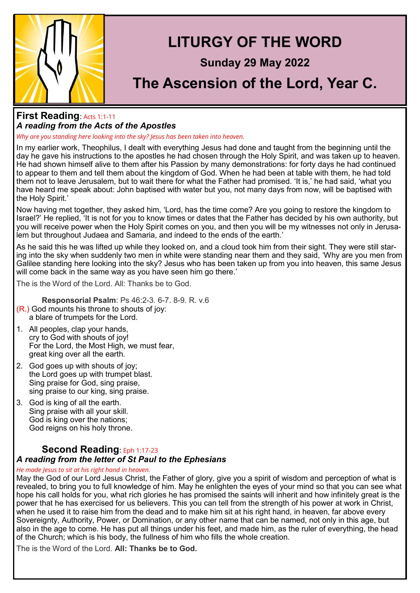

### **First Reading**: Acts 1:1-<sup>11</sup> *A reading from the Acts of the Apostles*

*Why are you standing here looking into the sky? Jesus has been taken into heaven.*

In my earlier work, Theophilus, I dealt with everything Jesus had done and taught from the beginning until the day he gave his instructions to the apostles he had chosen through the Holy Spirit, and was taken up to heaven. He had shown himself alive to them after his Passion by many demonstrations: for forty days he had continued to appear to them and tell them about the kingdom of God. When he had been at table with them, he had told them not to leave Jerusalem, but to wait there for what the Father had promised. 'It is,' he had said, 'what you have heard me speak about: John baptised with water but you, not many days from now, will be baptised with the Holy Spirit.'

Now having met together, they asked him, 'Lord, has the time come? Are you going to restore the kingdom to Israel?' He replied, 'It is not for you to know times or dates that the Father has decided by his own authority, but you will receive power when the Holy Spirit comes on you, and then you will be my witnesses not only in Jerusalem but throughout Judaea and Samaria, and indeed to the ends of the earth.'

As he said this he was lifted up while they looked on, and a cloud took him from their sight. They were still staring into the sky when suddenly two men in white were standing near them and they said, 'Why are you men from Galilee standing here looking into the sky? Jesus who has been taken up from you into heaven, this same Jesus will come back in the same way as you have seen him go there.'

The is the Word of the Lord. All: Thanks be to God.

**Responsorial Psalm**: Ps 46:2-3. 6-7. 8-9. R. v.6 (R.) God mounts his throne to shouts of joy:

- a blare of trumpets for the Lord.
- 1. All peoples, clap your hands, cry to God with shouts of joy! For the Lord, the Most High, we must fear, great king over all the earth.
- 2. God goes up with shouts of joy; the Lord goes up with trumpet blast. Sing praise for God, sing praise, sing praise to our king, sing praise.
- 3. God is king of all the earth. Sing praise with all your skill. God is king over the nations; God reigns on his holy throne.

# **Second Reading**: Eph 1:17-<sup>23</sup>

#### *A reading from the letter of St Paul to the Ephesians*

#### *He made Jesus to sit at his right hand in heaven.*

May the God of our Lord Jesus Christ, the Father of glory, give you a spirit of wisdom and perception of what is revealed, to bring you to full knowledge of him. May he enlighten the eyes of your mind so that you can see what hope his call holds for you, what rich glories he has promised the saints will inherit and how infinitely great is the power that he has exercised for us believers. This you can tell from the strength of his power at work in Christ, when he used it to raise him from the dead and to make him sit at his right hand, in heaven, far above every Sovereignty, Authority, Power, or Domination, or any other name that can be named, not only in this age, but also in the age to come. He has put all things under his feet, and made him, as the ruler of everything, the head of the Church; which is his body, the fullness of him who fills the whole creation.

The is the Word of the Lord. **All: Thanks be to God.**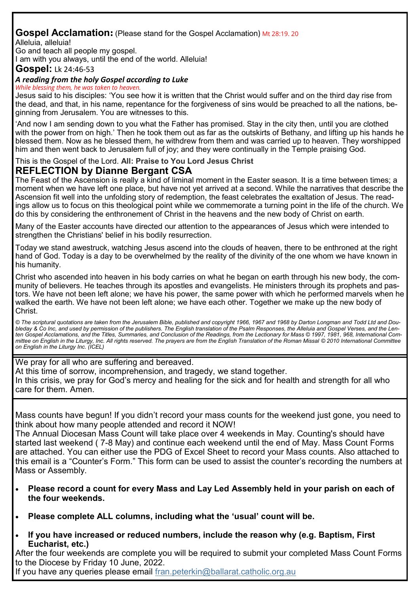# **Gospel Acclamation:** (Please stand for the Gospel Acclamation) Mt 28:19. 20

Alleluia, alleluia!

Go and teach all people my gospel.

I am with you always, until the end of the world. Alleluia!

**Gospel:** Lk 24:46-53

#### *A reading from the holy Gospel according to Luke*

*While blessing them, he was taken to heaven.*

Jesus said to his disciples: 'You see how it is written that the Christ would suffer and on the third day rise from the dead, and that, in his name, repentance for the forgiveness of sins would be preached to all the nations, beginning from Jerusalem. You are witnesses to this.

'And now I am sending down to you what the Father has promised. Stay in the city then, until you are clothed with the power from on high.' Then he took them out as far as the outskirts of Bethany, and lifting up his hands he blessed them. Now as he blessed them, he withdrew from them and was carried up to heaven. They worshipped him and then went back to Jerusalem full of joy; and they were continually in the Temple praising God.

### This is the Gospel of the Lord. **All: Praise to You Lord Jesus Christ**

## **REFLECTION by Dianne Bergant CSA**

The Feast of the Ascension is really a kind of liminal moment in the Easter season. It is a time between times; a moment when we have left one place, but have not yet arrived at a second. While the narratives that describe the Ascension fit well into the unfolding story of redemption, the feast celebrates the exaltation of Jesus. The readings allow us to focus on this theological point while we commemorate a turning point in the life of the church. We do this by considering the enthronement of Christ in the heavens and the new body of Christ on earth.

Many of the Easter accounts have directed our attention to the appearances of Jesus which were intended to strengthen the Christians' belief in his bodily resurrection.

Today we stand awestruck, watching Jesus ascend into the clouds of heaven, there to be enthroned at the right hand of God. Today is a day to be overwhelmed by the reality of the divinity of the one whom we have known in his humanity.

Christ who ascended into heaven in his body carries on what he began on earth through his new body, the community of believers. He teaches through its apostles and evangelists. He ministers through its prophets and pastors. We have not been left alone; we have his power, the same power with which he performed marvels when he walked the earth. We have not been left alone; we have each other. Together we make up the new body of Christ.

*© The scriptural quotations are taken from the Jerusalem Bible, published and copyright 1966, 1967 and 1968 by Darton Longman and Todd Ltd and Doubleday & Co Inc, and used by permission of the publishers. The English translation of the Psalm Responses, the Alleluia and Gospel Verses, and the Lenten Gospel Acclamations, and the Titles, Summaries, and Conclusion of the Readings, from the Lectionary for Mass © 1997, 1981, 968, International Committee on English in the Liturgy, Inc. All rights reserved. The prayers are from the English Translation of the Roman Missal © 2010 International Committee on English in the Liturgy Inc. (ICEL)*

We pray for all who are suffering and bereaved.

At this time of sorrow, incomprehension, and tragedy, we stand together.

In this crisis, we pray for God's mercy and healing for the sick and for health and strength for all who care for them. Amen.

Mass counts have begun! If you didn't record your mass counts for the weekend just gone, you need to think about how many people attended and record it NOW!

The Annual Diocesan Mass Count will take place over 4 weekends in May. Counting's should have started last weekend ( 7-8 May) and continue each weekend until the end of May. Mass Count Forms are attached. You can either use the PDG of Excel Sheet to record your Mass counts. Also attached to this email is a "Counter's Form." This form can be used to assist the counter's recording the numbers at Mass or Assembly.

- **Please record a count for every Mass and Lay Led Assembly held in your parish on each of the four weekends.**
- **Please complete ALL columns, including what the 'usual' count will be.**
- **If you have increased or reduced numbers, include the reason why (e.g. Baptism, First Eucharist, etc.)**

After the four weekends are complete you will be required to submit your completed Mass Count Forms to the Diocese by Friday 10 June, 2022.

If you have any queries please email fran.peterkin@ballarat.catholic.org.au